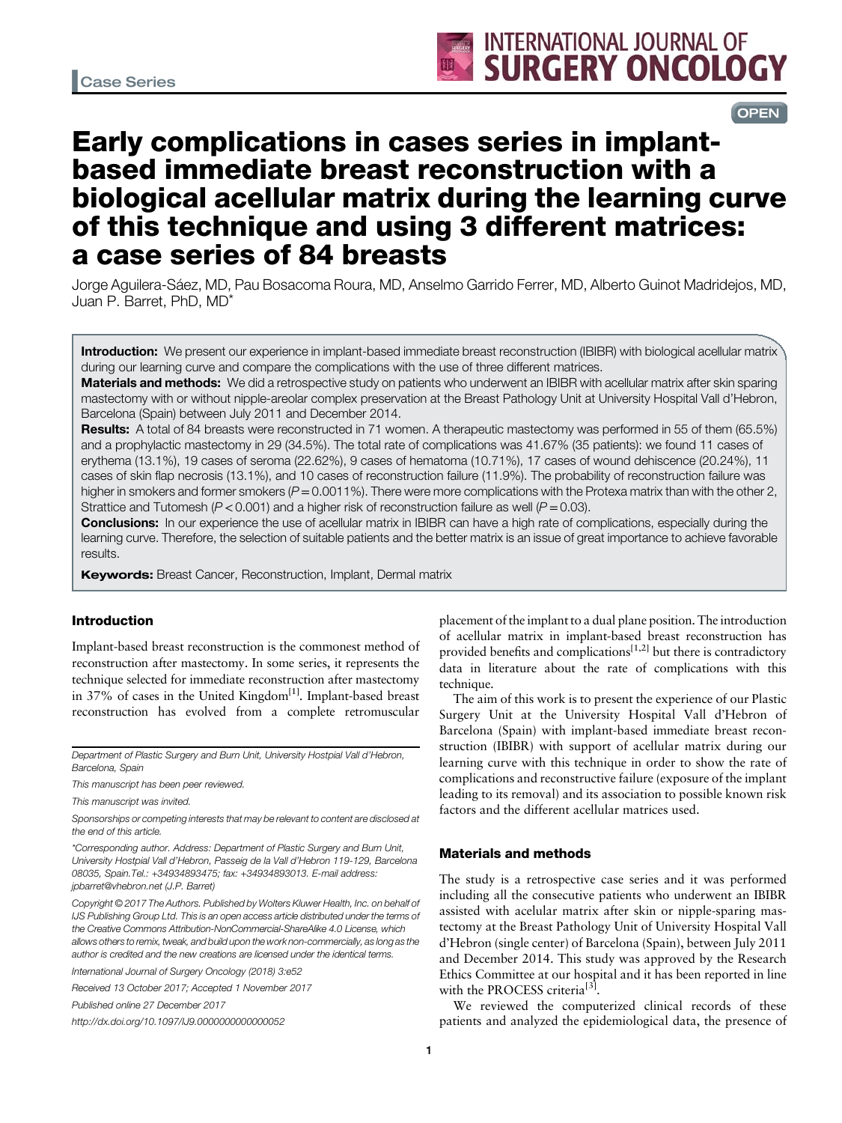**OPEN** 

# Early complications in cases series in implantbased immediate breast reconstruction with a biological acellular matrix during the learning curve of this technique and using 3 different matrices: a case series of 84 breasts

Jorge Aguilera-Sáez, MD, Pau Bosacoma Roura, MD, Anselmo Garrido Ferrer, MD, Alberto Guinot Madridejos, MD, Juan P. Barret, PhD, MD\*

Introduction: We present our experience in implant-based immediate breast reconstruction (IBIBR) with biological acellular matrix during our learning curve and compare the complications with the use of three different matrices.

Materials and methods: We did a retrospective study on patients who underwent an IBIBR with acellular matrix after skin sparing mastectomy with or without nipple-areolar complex preservation at the Breast Pathology Unit at University Hospital Vall d'Hebron, Barcelona (Spain) between July 2011 and December 2014.

Results: A total of 84 breasts were reconstructed in 71 women. A therapeutic mastectomy was performed in 55 of them (65.5%) and a prophylactic mastectomy in 29 (34.5%). The total rate of complications was 41.67% (35 patients): we found 11 cases of erythema (13.1%), 19 cases of seroma (22.62%), 9 cases of hematoma (10.71%), 17 cases of wound dehiscence (20.24%), 11 cases of skin flap necrosis (13.1%), and 10 cases of reconstruction failure (11.9%). The probability of reconstruction failure was higher in smokers and former smokers ( $P = 0.0011\%$ ). There were more complications with the Protexa matrix than with the other 2, Strattice and Tutomesh ( $P < 0.001$ ) and a higher risk of reconstruction failure as well ( $P = 0.03$ ).

**Conclusions:** In our experience the use of acellular matrix in IBIBR can have a high rate of complications, especially during the learning curve. Therefore, the selection of suitable patients and the better matrix is an issue of great importance to achieve favorable results.

**Keywords:** Breast Cancer, Reconstruction, Implant, Dermal matrix

## Introduction

Implant-based breast reconstruction is the commonest method of reconstruction after mastectomy. In some series, it represents the technique selected for immediate reconstruction after mastectomy in 37% of cases in the United Kingdom $[1]$ . Implant-based breast reconstruction has evolved from a complete retromuscular

Department of Plastic Surgery and Burn Unit, University Hostpial Vall d'Hebron, Barcelona, Spain

This manuscript has been peer reviewed.

This manuscript was invited.

Sponsorships or competing interests that may be relevant to content are disclosed at the end of this article.

\*Corresponding author. Address: Department of Plastic Surgery and Burn Unit, University Hostpial Vall d'Hebron, Passeig de la Vall d'Hebron 119-129, Barcelona 08035, Spain.Tel.: +34934893475; fax: +34934893013. E-mail address: [jpbarret@vhebron.net](mailto:jpbarret@vhebron.net) (J.P. Barret)

Copyright © 2017 The Authors. Published by Wolters Kluwer Health, Inc. on behalf of IJS Publishing Group Ltd. This is an open access article distributed under the terms of the [Creative Commons Attribution-NonCommercial-ShareAlike 4.0](http://creativecommons.org/licenses/by-nc-sa/4.0/) License, which allows others to remix, tweak, and build upon the work non-commercially, as long as the author is credited and the new creations are licensed under the identical terms.

International Journal of Surgery Oncology (2018) 3:e52

Received 13 October 2017; Accepted 1 November 2017

Published online 27 December 2017

http://dx.doi.org/10.1097/IJ9.0000000000000052

placement of the implant to a dual plane position. The introduction of acellular matrix in implant-based breast reconstruction has provided benefits and complications<sup>[\[1,2\]](#page-4-0)</sup> but there is contradictory data in literature about the rate of complications with this technique.

The aim of this work is to present the experience of our Plastic Surgery Unit at the University Hospital Vall d'Hebron of Barcelona (Spain) with implant-based immediate breast reconstruction (IBIBR) with support of acellular matrix during our learning curve with this technique in order to show the rate of complications and reconstructive failure (exposure of the implant leading to its removal) and its association to possible known risk factors and the different acellular matrices used.

# Materials and methods

The study is a retrospective case series and it was performed including all the consecutive patients who underwent an IBIBR assisted with acelular matrix after skin or nipple-sparing mastectomy at the Breast Pathology Unit of University Hospital Vall d'Hebron (single center) of Barcelona (Spain), between July 2011 and December 2014. This study was approved by the Research Ethics Committee at our hospital and it has been reported in line with the PROCESS criteria<sup>[\[3\]](#page-4-0)</sup>.

We reviewed the computerized clinical records of these patients and analyzed the epidemiological data, the presence of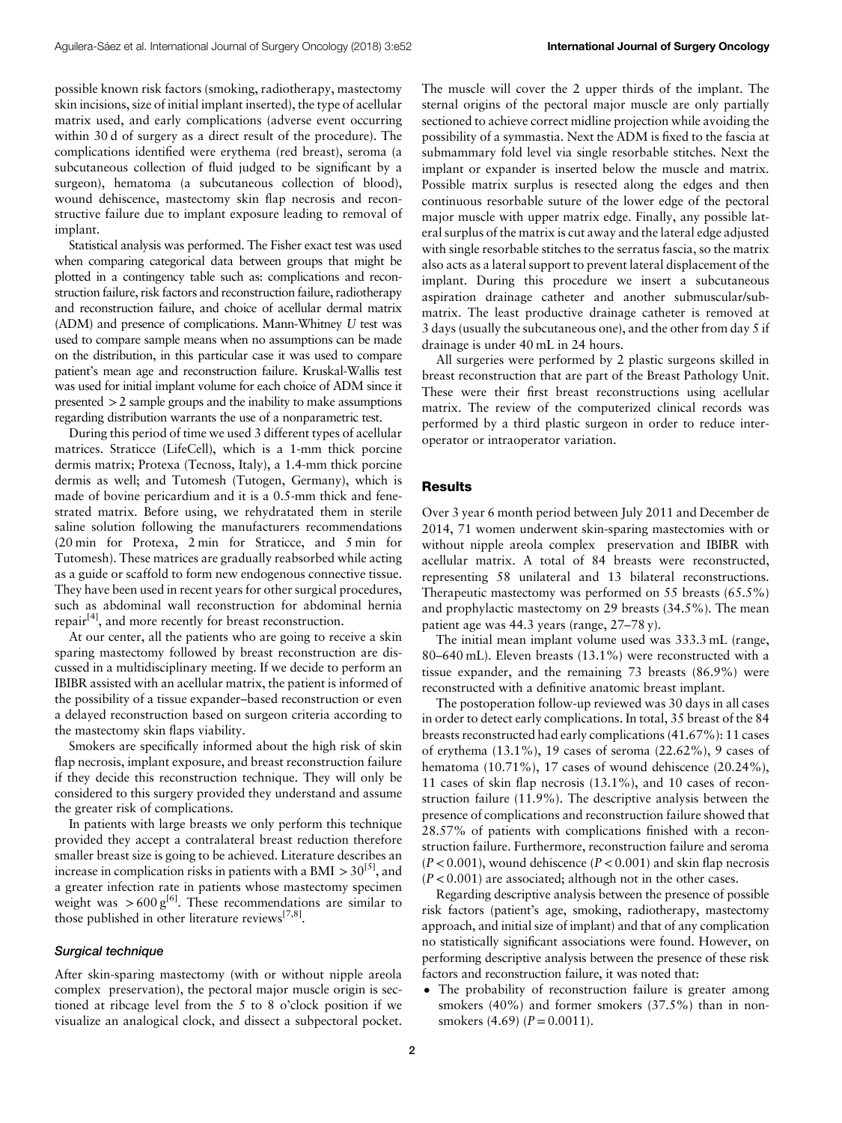possible known risk factors (smoking, radiotherapy, mastectomy skin incisions, size of initial implant inserted), the type of acellular matrix used, and early complications (adverse event occurring within 30 d of surgery as a direct result of the procedure). The complications identified were erythema (red breast), seroma (a subcutaneous collection of fluid judged to be significant by a surgeon), hematoma (a subcutaneous collection of blood), wound dehiscence, mastectomy skin flap necrosis and reconstructive failure due to implant exposure leading to removal of implant.

Statistical analysis was performed. The Fisher exact test was used when comparing categorical data between groups that might be plotted in a contingency table such as: complications and reconstruction failure, risk factors and reconstruction failure, radiotherapy and reconstruction failure, and choice of acellular dermal matrix (ADM) and presence of complications. Mann-Whitney U test was used to compare sample means when no assumptions can be made on the distribution, in this particular case it was used to compare patient's mean age and reconstruction failure. Kruskal-Wallis test was used for initial implant volume for each choice of ADM since it presented >2 sample groups and the inability to make assumptions regarding distribution warrants the use of a nonparametric test.

During this period of time we used 3 different types of acellular matrices. Straticce (LifeCell), which is a 1-mm thick porcine dermis matrix; Protexa (Tecnoss, Italy), a 1.4-mm thick porcine dermis as well; and Tutomesh (Tutogen, Germany), which is made of bovine pericardium and it is a 0.5-mm thick and fenestrated matrix. Before using, we rehydratated them in sterile saline solution following the manufacturers recommendations (20 min for Protexa, 2 min for Straticce, and 5 min for Tutomesh). These matrices are gradually reabsorbed while acting as a guide or scaffold to form new endogenous connective tissue. They have been used in recent years for other surgical procedures, such as abdominal wall reconstruction for abdominal hernia repair[\[4](#page-4-0)], and more recently for breast reconstruction.

At our center, all the patients who are going to receive a skin sparing mastectomy followed by breast reconstruction are discussed in a multidisciplinary meeting. If we decide to perform an IBIBR assisted with an acellular matrix, the patient is informed of the possibility of a tissue expander–based reconstruction or even a delayed reconstruction based on surgeon criteria according to the mastectomy skin flaps viability.

Smokers are specifically informed about the high risk of skin flap necrosis, implant exposure, and breast reconstruction failure if they decide this reconstruction technique. They will only be considered to this surgery provided they understand and assume the greater risk of complications.

In patients with large breasts we only perform this technique provided they accept a contralateral breast reduction therefore smaller breast size is going to be achieved. Literature describes an increase in complication risks in patients with a BMI  $>$  30<sup>[\[5\]](#page-4-0)</sup>, and a greater infection rate in patients whose mastectomy specimen weight was  $>600 \text{ g}^{6}$ . These recommendations are similar to those published in other literature reviews $^{[7,8]}$  $^{[7,8]}$  $^{[7,8]}$ .

# Surgical technique

After skin-sparing mastectomy (with or without nipple areola complex preservation), the pectoral major muscle origin is sectioned at ribcage level from the 5 to 8 o'clock position if we visualize an analogical clock, and dissect a subpectoral pocket. The muscle will cover the 2 upper thirds of the implant. The sternal origins of the pectoral major muscle are only partially sectioned to achieve correct midline projection while avoiding the possibility of a symmastia. Next the ADM is fixed to the fascia at submammary fold level via single resorbable stitches. Next the implant or expander is inserted below the muscle and matrix. Possible matrix surplus is resected along the edges and then continuous resorbable suture of the lower edge of the pectoral major muscle with upper matrix edge. Finally, any possible lateral surplus of the matrix is cut away and the lateral edge adjusted with single resorbable stitches to the serratus fascia, so the matrix also acts as a lateral support to prevent lateral displacement of the implant. During this procedure we insert a subcutaneous aspiration drainage catheter and another submuscular/submatrix. The least productive drainage catheter is removed at 3 days (usually the subcutaneous one), and the other from day 5 if drainage is under 40 mL in 24 hours.

All surgeries were performed by 2 plastic surgeons skilled in breast reconstruction that are part of the Breast Pathology Unit. These were their first breast reconstructions using acellular matrix. The review of the computerized clinical records was performed by a third plastic surgeon in order to reduce interoperator or intraoperator variation.

#### **Results**

Over 3 year 6 month period between July 2011 and December de 2014, 71 women underwent skin-sparing mastectomies with or without nipple areola complex preservation and IBIBR with acellular matrix. A total of 84 breasts were reconstructed, representing 58 unilateral and 13 bilateral reconstructions. Therapeutic mastectomy was performed on 55 breasts (65.5%) and prophylactic mastectomy on 29 breasts (34.5%). The mean patient age was 44.3 years (range, 27–78 y).

The initial mean implant volume used was 333.3 mL (range, 80–640 mL). Eleven breasts (13.1%) were reconstructed with a tissue expander, and the remaining 73 breasts (86.9%) were reconstructed with a definitive anatomic breast implant.

The postoperation follow-up reviewed was 30 days in all cases in order to detect early complications. In total, 35 breast of the 84 breasts reconstructed had early complications (41.67%): 11 cases of erythema (13.1%), 19 cases of seroma (22.62%), 9 cases of hematoma (10.71%), 17 cases of wound dehiscence (20.24%), 11 cases of skin flap necrosis (13.1%), and 10 cases of reconstruction failure (11.9%). The descriptive analysis between the presence of complications and reconstruction failure showed that 28.57% of patients with complications finished with a reconstruction failure. Furthermore, reconstruction failure and seroma  $(P < 0.001)$ , wound dehiscence  $(P < 0.001)$  and skin flap necrosis  $(P < 0.001)$  are associated; although not in the other cases.

Regarding descriptive analysis between the presence of possible risk factors (patient's age, smoking, radiotherapy, mastectomy approach, and initial size of implant) and that of any complication no statistically significant associations were found. However, on performing descriptive analysis between the presence of these risk factors and reconstruction failure, it was noted that:

The probability of reconstruction failure is greater among smokers (40%) and former smokers (37.5%) than in nonsmokers  $(4.69)$   $(P = 0.0011)$ .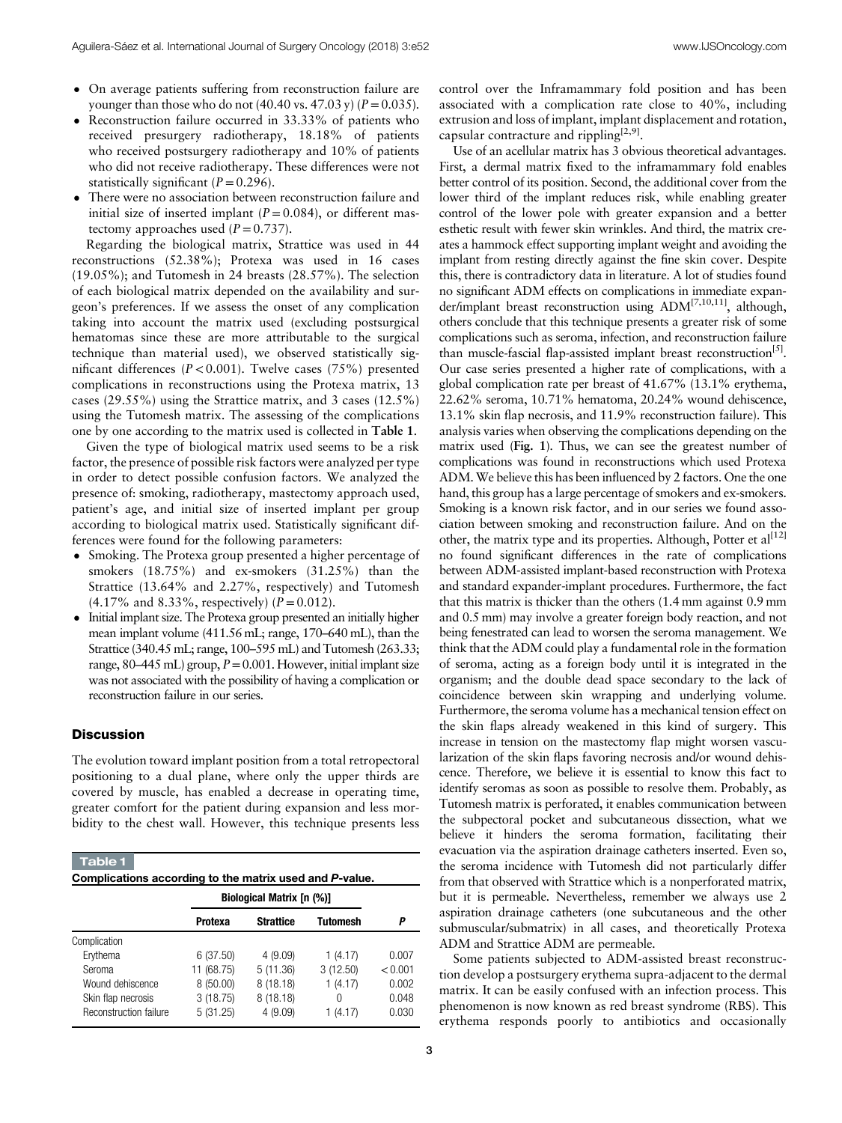- On average patients suffering from reconstruction failure are younger than those who do not  $(40.40 \text{ vs. } 47.03 \text{ y})$   $(P = 0.035)$ .
- Reconstruction failure occurred in 33.33% of patients who received presurgery radiotherapy, 18.18% of patients who received postsurgery radiotherapy and 10% of patients who did not receive radiotherapy. These differences were not statistically significant  $(P=0.296)$ .
- There were no association between reconstruction failure and initial size of inserted implant ( $P = 0.084$ ), or different mastectomy approaches used  $(P=0.737)$ .

Regarding the biological matrix, Strattice was used in 44 reconstructions (52.38%); Protexa was used in 16 cases (19.05%); and Tutomesh in 24 breasts (28.57%). The selection of each biological matrix depended on the availability and surgeon's preferences. If we assess the onset of any complication taking into account the matrix used (excluding postsurgical hematomas since these are more attributable to the surgical technique than material used), we observed statistically significant differences ( $P < 0.001$ ). Twelve cases (75%) presented complications in reconstructions using the Protexa matrix, 13 cases (29.55%) using the Strattice matrix, and 3 cases (12.5%) using the Tutomesh matrix. The assessing of the complications one by one according to the matrix used is collected in Table 1.

Given the type of biological matrix used seems to be a risk factor, the presence of possible risk factors were analyzed per type in order to detect possible confusion factors. We analyzed the presence of: smoking, radiotherapy, mastectomy approach used, patient's age, and initial size of inserted implant per group according to biological matrix used. Statistically significant differences were found for the following parameters:

- Smoking. The Protexa group presented a higher percentage of smokers (18.75%) and ex-smokers (31.25%) than the Strattice (13.64% and 2.27%, respectively) and Tutomesh  $(4.17\%$  and 8.33%, respectively)  $(P = 0.012)$ .
- Initial implant size. The Protexa group presented an initially higher mean implant volume (411.56 mL; range, 170–640 mL), than the Strattice (340.45 mL; range, 100–595 mL) and Tutomesh (263.33; range,  $80-445$  mL) group,  $P = 0.001$ . However, initial implant size was not associated with the possibility of having a complication or reconstruction failure in our series.

#### **Discussion**

The evolution toward implant position from a total retropectoral positioning to a dual plane, where only the upper thirds are covered by muscle, has enabled a decrease in operating time, greater comfort for the patient during expansion and less morbidity to the chest wall. However, this technique presents less

| Table 1<br>Complications according to the matrix used and P-value.<br><b>Biological Matrix [n (%)]</b> |            |                  |          |         |
|--------------------------------------------------------------------------------------------------------|------------|------------------|----------|---------|
|                                                                                                        | Protexa    | <b>Strattice</b> | Tutomesh | Р       |
| Complication                                                                                           |            |                  |          |         |
| Erythema                                                                                               | 6(37.50)   | 4(9.09)          | 1(4.17)  | 0.007   |
| Seroma                                                                                                 | 11 (68.75) | 5(11.36)         | 3(12.50) | < 0.001 |
| Wound dehiscence                                                                                       | 8(50.00)   | 8(18.18)         | 1(4.17)  | 0.002   |
| Skin flap necrosis                                                                                     | 3(18.75)   | 8(18.18)         | 0        | 0.048   |
| <b>Reconstruction failure</b>                                                                          | 5(31.25)   | 4(9.09)          | (4.17)   | 0.030   |

control over the Inframammary fold position and has been associated with a complication rate close to 40%, including extrusion and loss of implant, implant displacement and rotation, capsular contracture and rippling<sup>[\[2,9](#page-4-0)]</sup>.

Use of an acellular matrix has 3 obvious theoretical advantages. First, a dermal matrix fixed to the inframammary fold enables better control of its position. Second, the additional cover from the lower third of the implant reduces risk, while enabling greater control of the lower pole with greater expansion and a better esthetic result with fewer skin wrinkles. And third, the matrix creates a hammock effect supporting implant weight and avoiding the implant from resting directly against the fine skin cover. Despite this, there is contradictory data in literature. A lot of studies found no significant ADM effects on complications in immediate expander/implant breast reconstruction using ADM<sup>[7,10,11]</sup>, although, others conclude that this technique presents a greater risk of some complications such as seroma, infection, and reconstruction failure than muscle-fascial flap-assisted implant breast reconstruction<sup>[\[5](#page-4-0)]</sup>. Our case series presented a higher rate of complications, with a global complication rate per breast of 41.67% (13.1% erythema, 22.62% seroma, 10.71% hematoma, 20.24% wound dehiscence, 13.1% skin flap necrosis, and 11.9% reconstruction failure). This analysis varies when observing the complications depending on the matrix used ([Fig. 1](#page-3-0)). Thus, we can see the greatest number of complications was found in reconstructions which used Protexa ADM. We believe this has been influenced by 2 factors. One the one hand, this group has a large percentage of smokers and ex-smokers. Smoking is a known risk factor, and in our series we found association between smoking and reconstruction failure. And on the other, the matrix type and its properties. Although, Potter et  $al^{[12]}$  $al^{[12]}$  $al^{[12]}$ no found significant differences in the rate of complications between ADM-assisted implant-based reconstruction with Protexa and standard expander-implant procedures. Furthermore, the fact that this matrix is thicker than the others (1.4 mm against 0.9 mm and 0.5 mm) may involve a greater foreign body reaction, and not being fenestrated can lead to worsen the seroma management. We think that the ADM could play a fundamental role in the formation of seroma, acting as a foreign body until it is integrated in the organism; and the double dead space secondary to the lack of coincidence between skin wrapping and underlying volume. Furthermore, the seroma volume has a mechanical tension effect on the skin flaps already weakened in this kind of surgery. This increase in tension on the mastectomy flap might worsen vascularization of the skin flaps favoring necrosis and/or wound dehiscence. Therefore, we believe it is essential to know this fact to identify seromas as soon as possible to resolve them. Probably, as Tutomesh matrix is perforated, it enables communication between the subpectoral pocket and subcutaneous dissection, what we believe it hinders the seroma formation, facilitating their evacuation via the aspiration drainage catheters inserted. Even so, the seroma incidence with Tutomesh did not particularly differ from that observed with Strattice which is a nonperforated matrix, but it is permeable. Nevertheless, remember we always use 2 aspiration drainage catheters (one subcutaneous and the other submuscular/submatrix) in all cases, and theoretically Protexa ADM and Strattice ADM are permeable.

Some patients subjected to ADM-assisted breast reconstruction develop a postsurgery erythema supra-adjacent to the dermal matrix. It can be easily confused with an infection process. This phenomenon is now known as red breast syndrome (RBS). This erythema responds poorly to antibiotics and occasionally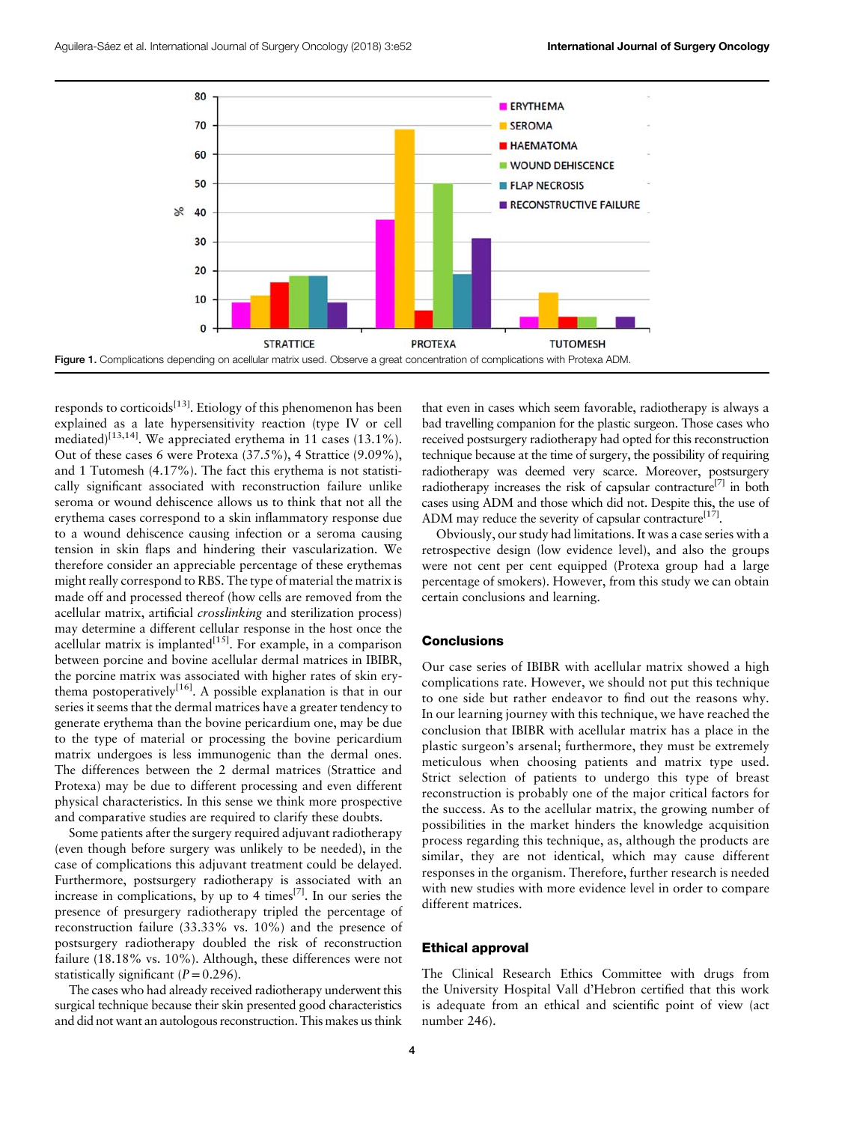<span id="page-3-0"></span>

responds to corticoids<sup>[\[13\]](#page-4-0)</sup>. Etiology of this phenomenon has been explained as a late hypersensitivity reaction (type IV or cell mediated)<sup>[\[13,14](#page-4-0)]</sup>. We appreciated erythema in 11 cases (13.1%). Out of these cases 6 were Protexa (37.5%), 4 Strattice (9.09%), and 1 Tutomesh (4.17%). The fact this erythema is not statistically significant associated with reconstruction failure unlike seroma or wound dehiscence allows us to think that not all the erythema cases correspond to a skin inflammatory response due to a wound dehiscence causing infection or a seroma causing tension in skin flaps and hindering their vascularization. We therefore consider an appreciable percentage of these erythemas might really correspond to RBS. The type of material the matrix is made off and processed thereof (how cells are removed from the acellular matrix, artificial *crosslinking* and sterilization process) may determine a different cellular response in the host once the acellular matrix is implanted $[15]$ . For example, in a comparison between porcine and bovine acellular dermal matrices in IBIBR, the porcine matrix was associated with higher rates of skin ery-thema postoperatively<sup>[\[16\]](#page-4-0)</sup>. A possible explanation is that in our series it seems that the dermal matrices have a greater tendency to generate erythema than the bovine pericardium one, may be due to the type of material or processing the bovine pericardium matrix undergoes is less immunogenic than the dermal ones. The differences between the 2 dermal matrices (Strattice and Protexa) may be due to different processing and even different physical characteristics. In this sense we think more prospective and comparative studies are required to clarify these doubts.

Some patients after the surgery required adjuvant radiotherapy (even though before surgery was unlikely to be needed), in the case of complications this adjuvant treatment could be delayed. Furthermore, postsurgery radiotherapy is associated with an increase in complications, by up to 4 times<sup>[\[7\]](#page-4-0)</sup>. In our series the presence of presurgery radiotherapy tripled the percentage of reconstruction failure (33.33% vs. 10%) and the presence of postsurgery radiotherapy doubled the risk of reconstruction failure (18.18% vs. 10%). Although, these differences were not statistically significant  $(P = 0.296)$ .

The cases who had already received radiotherapy underwent this surgical technique because their skin presented good characteristics and did not want an autologous reconstruction. This makes us think that even in cases which seem favorable, radiotherapy is always a bad travelling companion for the plastic surgeon. Those cases who received postsurgery radiotherapy had opted for this reconstruction technique because at the time of surgery, the possibility of requiring radiotherapy was deemed very scarce. Moreover, postsurgery radiotherapy increases the risk of capsular contracture<sup>[\[7](#page-4-0)]</sup> in both cases using ADM and those which did not. Despite this, the use of ADM may reduce the severity of capsular contracture<sup>[17]</sup>.

Obviously, our study had limitations. It was a case series with a retrospective design (low evidence level), and also the groups were not cent per cent equipped (Protexa group had a large percentage of smokers). However, from this study we can obtain certain conclusions and learning.

## **Conclusions**

Our case series of IBIBR with acellular matrix showed a high complications rate. However, we should not put this technique to one side but rather endeavor to find out the reasons why. In our learning journey with this technique, we have reached the conclusion that IBIBR with acellular matrix has a place in the plastic surgeon's arsenal; furthermore, they must be extremely meticulous when choosing patients and matrix type used. Strict selection of patients to undergo this type of breast reconstruction is probably one of the major critical factors for the success. As to the acellular matrix, the growing number of possibilities in the market hinders the knowledge acquisition process regarding this technique, as, although the products are similar, they are not identical, which may cause different responses in the organism. Therefore, further research is needed with new studies with more evidence level in order to compare different matrices.

#### Ethical approval

The Clinical Research Ethics Committee with drugs from the University Hospital Vall d'Hebron certified that this work is adequate from an ethical and scientific point of view (act number 246).